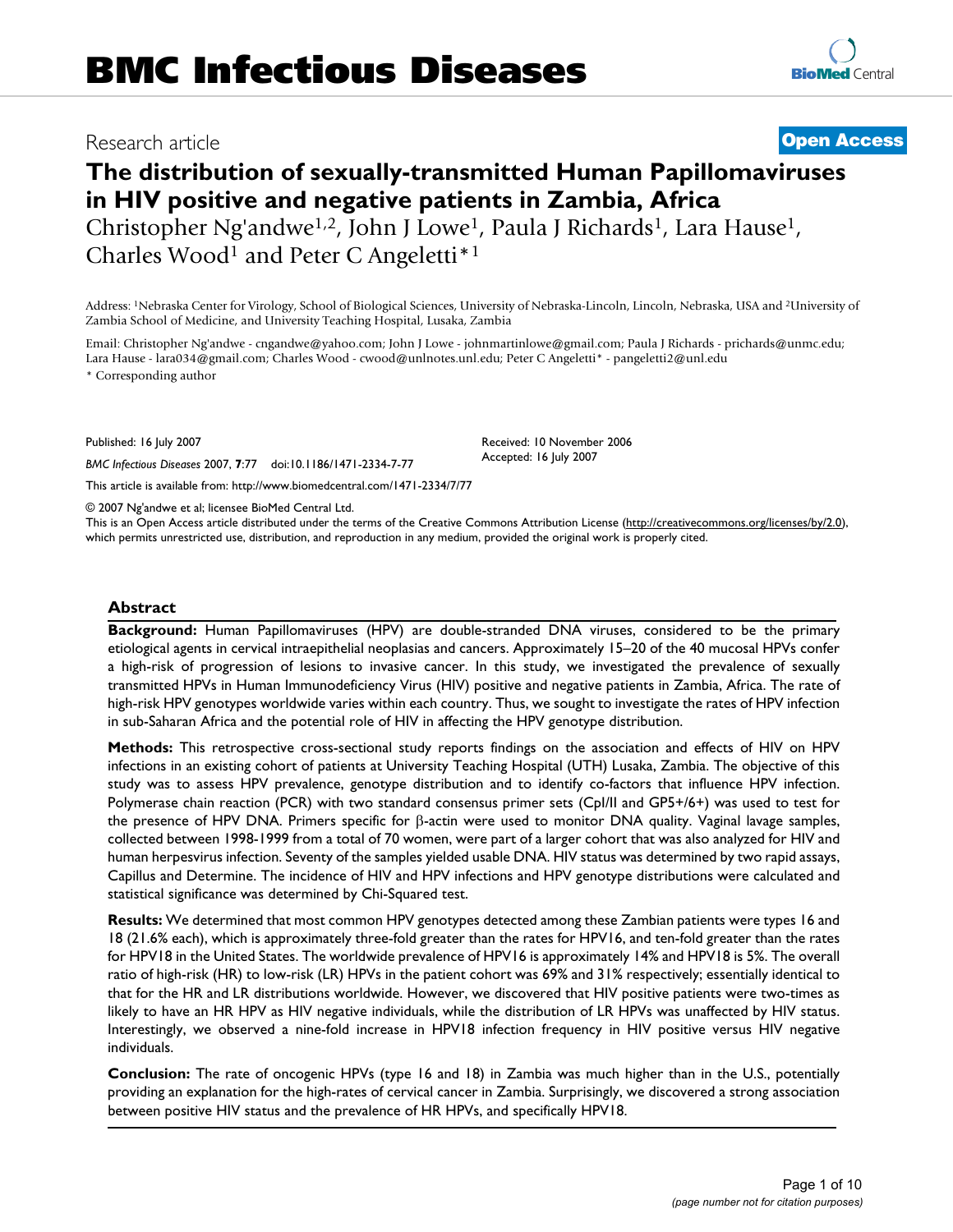# Research article **[Open Access](http://www.biomedcentral.com/info/about/charter/) The distribution of sexually-transmitted Human Papillomaviruses in HIV positive and negative patients in Zambia, Africa**

Christopher Ng'andwe1,2, John J Lowe1, Paula J Richards1, Lara Hause1, Charles Wood<sup>1</sup> and Peter C Angeletti<sup>\*1</sup>

Address: 1Nebraska Center for Virology, School of Biological Sciences, University of Nebraska-Lincoln, Lincoln, Nebraska, USA and 2University of Zambia School of Medicine, and University Teaching Hospital, Lusaka, Zambia

Email: Christopher Ng'andwe - cngandwe@yahoo.com; John J Lowe - johnmartinlowe@gmail.com; Paula J Richards - prichards@unmc.edu; Lara Hause - lara034@gmail.com; Charles Wood - cwood@unlnotes.unl.edu; Peter C Angeletti\* - pangeletti2@unl.edu

\* Corresponding author

Published: 16 July 2007

*BMC Infectious Diseases* 2007, **7**:77 doi:10.1186/1471-2334-7-77

[This article is available from: http://www.biomedcentral.com/1471-2334/7/77](http://www.biomedcentral.com/1471-2334/7/77)

© 2007 Ng'andwe et al; licensee BioMed Central Ltd.

This is an Open Access article distributed under the terms of the Creative Commons Attribution License [\(http://creativecommons.org/licenses/by/2.0\)](http://creativecommons.org/licenses/by/2.0), which permits unrestricted use, distribution, and reproduction in any medium, provided the original work is properly cited.

# **Abstract**

**Background:** Human Papillomaviruses (HPV) are double-stranded DNA viruses, considered to be the primary etiological agents in cervical intraepithelial neoplasias and cancers. Approximately 15–20 of the 40 mucosal HPVs confer a high-risk of progression of lesions to invasive cancer. In this study, we investigated the prevalence of sexually transmitted HPVs in Human Immunodeficiency Virus (HIV) positive and negative patients in Zambia, Africa. The rate of high-risk HPV genotypes worldwide varies within each country. Thus, we sought to investigate the rates of HPV infection in sub-Saharan Africa and the potential role of HIV in affecting the HPV genotype distribution.

**Methods:** This retrospective cross-sectional study reports findings on the association and effects of HIV on HPV infections in an existing cohort of patients at University Teaching Hospital (UTH) Lusaka, Zambia. The objective of this study was to assess HPV prevalence, genotype distribution and to identify co-factors that influence HPV infection. Polymerase chain reaction (PCR) with two standard consensus primer sets (CpI/II and GP5+/6+) was used to test for the presence of HPV DNA. Primers specific for β-actin were used to monitor DNA quality. Vaginal lavage samples, collected between 1998-1999 from a total of 70 women, were part of a larger cohort that was also analyzed for HIV and human herpesvirus infection. Seventy of the samples yielded usable DNA. HIV status was determined by two rapid assays, Capillus and Determine. The incidence of HIV and HPV infections and HPV genotype distributions were calculated and statistical significance was determined by Chi-Squared test.

**Results:** We determined that most common HPV genotypes detected among these Zambian patients were types 16 and 18 (21.6% each), which is approximately three-fold greater than the rates for HPV16, and ten-fold greater than the rates for HPV18 in the United States. The worldwide prevalence of HPV16 is approximately 14% and HPV18 is 5%. The overall ratio of high-risk (HR) to low-risk (LR) HPVs in the patient cohort was 69% and 31% respectively; essentially identical to that for the HR and LR distributions worldwide. However, we discovered that HIV positive patients were two-times as likely to have an HR HPV as HIV negative individuals, while the distribution of LR HPVs was unaffected by HIV status. Interestingly, we observed a nine-fold increase in HPV18 infection frequency in HIV positive versus HIV negative individuals.

**Conclusion:** The rate of oncogenic HPVs (type 16 and 18) in Zambia was much higher than in the U.S., potentially providing an explanation for the high-rates of cervical cancer in Zambia. Surprisingly, we discovered a strong association between positive HIV status and the prevalence of HR HPVs, and specifically HPV18.

Received: 10 November 2006 Accepted: 16 July 2007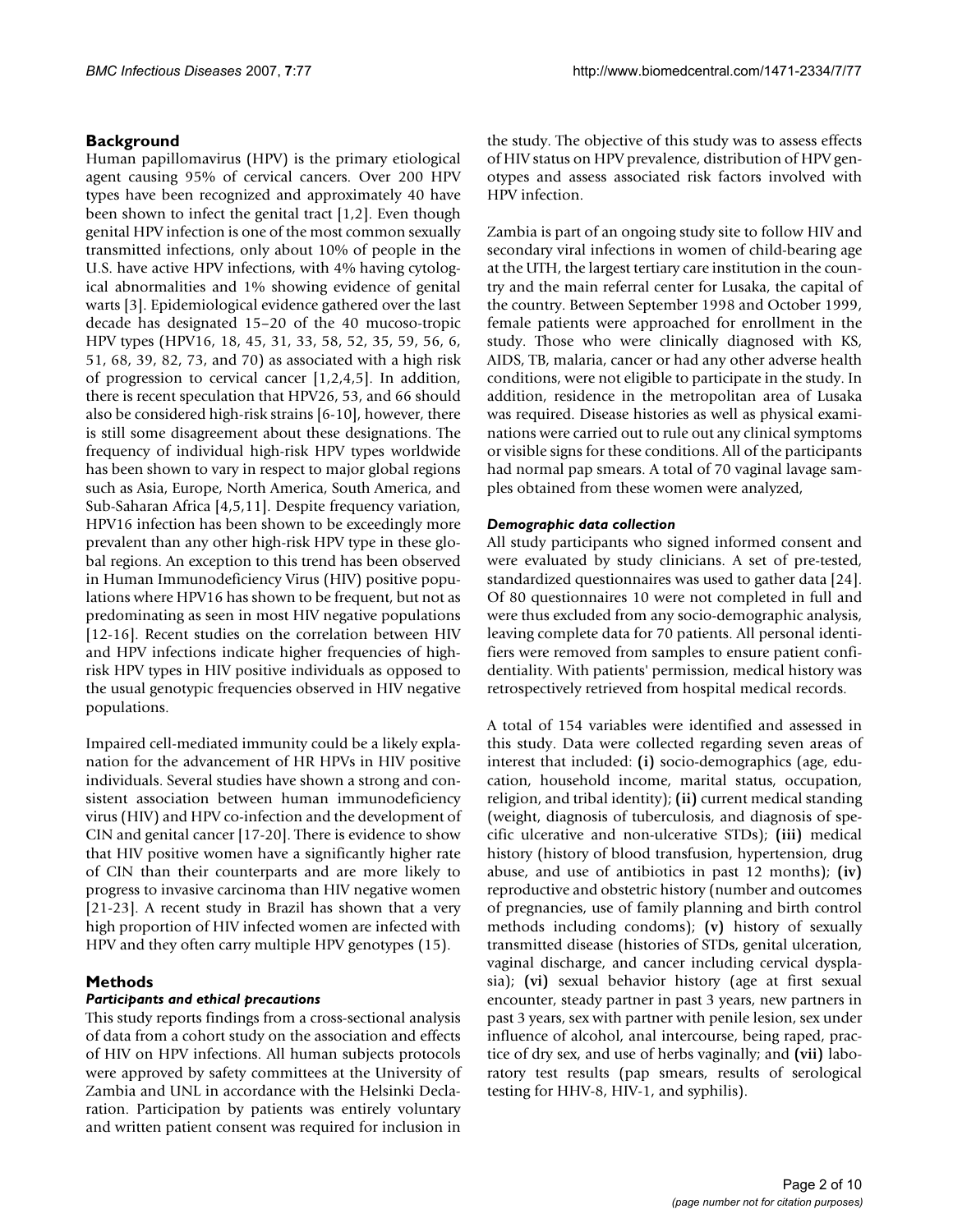# **Background**

Human papillomavirus (HPV) is the primary etiological agent causing 95% of cervical cancers. Over 200 HPV types have been recognized and approximately 40 have been shown to infect the genital tract [1,2]. Even though genital HPV infection is one of the most common sexually transmitted infections, only about 10% of people in the U.S. have active HPV infections, with 4% having cytological abnormalities and 1% showing evidence of genital warts [3]. Epidemiological evidence gathered over the last decade has designated 15–20 of the 40 mucoso-tropic HPV types (HPV16, 18, 45, 31, 33, 58, 52, 35, 59, 56, 6, 51, 68, 39, 82, 73, and 70) as associated with a high risk of progression to cervical cancer [1,2,4,5]. In addition, there is recent speculation that HPV26, 53, and 66 should also be considered high-risk strains [6-10], however, there is still some disagreement about these designations. The frequency of individual high-risk HPV types worldwide has been shown to vary in respect to major global regions such as Asia, Europe, North America, South America, and Sub-Saharan Africa [4,5,11]. Despite frequency variation, HPV16 infection has been shown to be exceedingly more prevalent than any other high-risk HPV type in these global regions. An exception to this trend has been observed in Human Immunodeficiency Virus (HIV) positive populations where HPV16 has shown to be frequent, but not as predominating as seen in most HIV negative populations [12-16]. Recent studies on the correlation between HIV and HPV infections indicate higher frequencies of highrisk HPV types in HIV positive individuals as opposed to the usual genotypic frequencies observed in HIV negative populations.

Impaired cell-mediated immunity could be a likely explanation for the advancement of HR HPVs in HIV positive individuals. Several studies have shown a strong and consistent association between human immunodeficiency virus (HIV) and HPV co-infection and the development of CIN and genital cancer [17-20]. There is evidence to show that HIV positive women have a significantly higher rate of CIN than their counterparts and are more likely to progress to invasive carcinoma than HIV negative women [21-23]. A recent study in Brazil has shown that a very high proportion of HIV infected women are infected with HPV and they often carry multiple HPV genotypes (15).

# **Methods**

### *Participants and ethical precautions*

This study reports findings from a cross-sectional analysis of data from a cohort study on the association and effects of HIV on HPV infections. All human subjects protocols were approved by safety committees at the University of Zambia and UNL in accordance with the Helsinki Declaration. Participation by patients was entirely voluntary and written patient consent was required for inclusion in the study. The objective of this study was to assess effects of HIV status on HPV prevalence, distribution of HPV genotypes and assess associated risk factors involved with HPV infection.

Zambia is part of an ongoing study site to follow HIV and secondary viral infections in women of child-bearing age at the UTH, the largest tertiary care institution in the country and the main referral center for Lusaka, the capital of the country. Between September 1998 and October 1999, female patients were approached for enrollment in the study. Those who were clinically diagnosed with KS, AIDS, TB, malaria, cancer or had any other adverse health conditions, were not eligible to participate in the study. In addition, residence in the metropolitan area of Lusaka was required. Disease histories as well as physical examinations were carried out to rule out any clinical symptoms or visible signs for these conditions. All of the participants had normal pap smears. A total of 70 vaginal lavage samples obtained from these women were analyzed,

### *Demographic data collection*

All study participants who signed informed consent and were evaluated by study clinicians. A set of pre-tested, standardized questionnaires was used to gather data [24]. Of 80 questionnaires 10 were not completed in full and were thus excluded from any socio-demographic analysis, leaving complete data for 70 patients. All personal identifiers were removed from samples to ensure patient confidentiality. With patients' permission, medical history was retrospectively retrieved from hospital medical records.

A total of 154 variables were identified and assessed in this study. Data were collected regarding seven areas of interest that included: **(i)** socio-demographics (age, education, household income, marital status, occupation, religion, and tribal identity); **(ii)** current medical standing (weight, diagnosis of tuberculosis, and diagnosis of specific ulcerative and non-ulcerative STDs); **(iii)** medical history (history of blood transfusion, hypertension, drug abuse, and use of antibiotics in past 12 months); **(iv)** reproductive and obstetric history (number and outcomes of pregnancies, use of family planning and birth control methods including condoms); **(v)** history of sexually transmitted disease (histories of STDs, genital ulceration, vaginal discharge, and cancer including cervical dysplasia); **(vi)** sexual behavior history (age at first sexual encounter, steady partner in past 3 years, new partners in past 3 years, sex with partner with penile lesion, sex under influence of alcohol, anal intercourse, being raped, practice of dry sex, and use of herbs vaginally; and **(vii)** laboratory test results (pap smears, results of serological testing for HHV-8, HIV-1, and syphilis).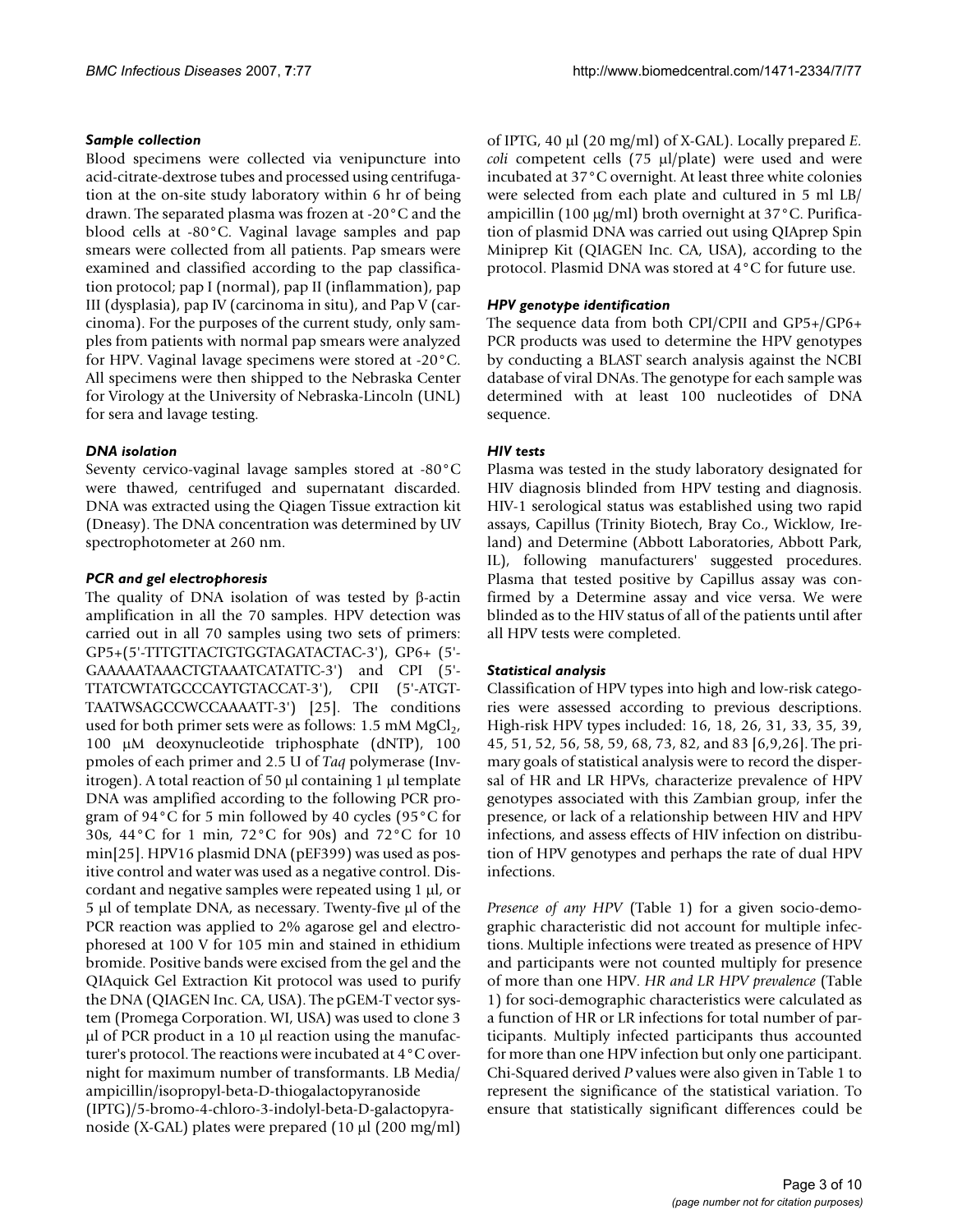### *Sample collection*

Blood specimens were collected via venipuncture into acid-citrate-dextrose tubes and processed using centrifugation at the on-site study laboratory within 6 hr of being drawn. The separated plasma was frozen at -20°C and the blood cells at -80°C. Vaginal lavage samples and pap smears were collected from all patients. Pap smears were examined and classified according to the pap classification protocol; pap I (normal), pap II (inflammation), pap III (dysplasia), pap IV (carcinoma in situ), and Pap V (carcinoma). For the purposes of the current study, only samples from patients with normal pap smears were analyzed for HPV. Vaginal lavage specimens were stored at -20°C. All specimens were then shipped to the Nebraska Center for Virology at the University of Nebraska-Lincoln (UNL) for sera and lavage testing.

# *DNA isolation*

Seventy cervico-vaginal lavage samples stored at -80°C were thawed, centrifuged and supernatant discarded. DNA was extracted using the Qiagen Tissue extraction kit (Dneasy). The DNA concentration was determined by UV spectrophotometer at 260 nm.

### *PCR and gel electrophoresis*

The quality of DNA isolation of was tested by β-actin amplification in all the 70 samples. HPV detection was carried out in all 70 samples using two sets of primers: GP5+(5'-TTTGTTACTGTGGTAGATACTAC-3'), GP6+ (5'- GAAAAATAAACTGTAAATCATATTC-3') and CPI (5'- TTATCWTATGCCCAYTGTACCAT-3'), CPII (5'-ATGT-TAATWSAGCCWCCAAAATT-3') [25]. The conditions used for both primer sets were as follows:  $1.5 \text{ mM MgCl}_2$ , 100 µM deoxynucleotide triphosphate (dNTP), 100 pmoles of each primer and 2.5 U of *Taq* polymerase (Invitrogen). A total reaction of 50 µl containing 1 µl template DNA was amplified according to the following PCR program of 94°C for 5 min followed by 40 cycles (95°C for 30s, 44°C for 1 min, 72°C for 90s) and 72°C for 10 min[25]. HPV16 plasmid DNA (pEF399) was used as positive control and water was used as a negative control. Discordant and negative samples were repeated using 1 µl, or 5 µl of template DNA, as necessary. Twenty-five µl of the PCR reaction was applied to 2% agarose gel and electrophoresed at 100 V for 105 min and stained in ethidium bromide. Positive bands were excised from the gel and the QIAquick Gel Extraction Kit protocol was used to purify the DNA (QIAGEN Inc. CA, USA). The pGEM-T vector system (Promega Corporation. WI, USA) was used to clone 3  $\mu$ l of PCR product in a 10  $\mu$ l reaction using the manufacturer's protocol. The reactions were incubated at 4°C overnight for maximum number of transformants. LB Media/ ampicillin/isopropyl-beta-D-thiogalactopyranoside (IPTG)/5-bromo-4-chloro-3-indolyl-beta-D-galactopyranoside (X-GAL) plates were prepared (10 µl (200 mg/ml)

of IPTG, 40 µl (20 mg/ml) of X-GAL). Locally prepared *E. coli* competent cells (75 µl/plate) were used and were incubated at 37°C overnight. At least three white colonies were selected from each plate and cultured in 5 ml LB/ ampicillin (100 µg/ml) broth overnight at 37°C. Purification of plasmid DNA was carried out using QIAprep Spin Miniprep Kit (QIAGEN Inc. CA, USA), according to the protocol. Plasmid DNA was stored at 4°C for future use.

# *HPV genotype identification*

The sequence data from both CPI/CPII and GP5+/GP6+ PCR products was used to determine the HPV genotypes by conducting a BLAST search analysis against the NCBI database of viral DNAs. The genotype for each sample was determined with at least 100 nucleotides of DNA sequence.

# *HIV tests*

Plasma was tested in the study laboratory designated for HIV diagnosis blinded from HPV testing and diagnosis. HIV-1 serological status was established using two rapid assays, Capillus (Trinity Biotech, Bray Co., Wicklow, Ireland) and Determine (Abbott Laboratories, Abbott Park, IL), following manufacturers' suggested procedures. Plasma that tested positive by Capillus assay was confirmed by a Determine assay and vice versa. We were blinded as to the HIV status of all of the patients until after all HPV tests were completed.

### *Statistical analysis*

Classification of HPV types into high and low-risk categories were assessed according to previous descriptions. High-risk HPV types included: 16, 18, 26, 31, 33, 35, 39, 45, 51, 52, 56, 58, 59, 68, 73, 82, and 83 [6,9,26]. The primary goals of statistical analysis were to record the dispersal of HR and LR HPVs, characterize prevalence of HPV genotypes associated with this Zambian group, infer the presence, or lack of a relationship between HIV and HPV infections, and assess effects of HIV infection on distribution of HPV genotypes and perhaps the rate of dual HPV infections.

*Presence of any HPV* (Table 1) for a given socio-demographic characteristic did not account for multiple infections. Multiple infections were treated as presence of HPV and participants were not counted multiply for presence of more than one HPV. *HR and LR HPV prevalence* (Table 1) for soci-demographic characteristics were calculated as a function of HR or LR infections for total number of participants. Multiply infected participants thus accounted for more than one HPV infection but only one participant. Chi-Squared derived *P* values were also given in Table 1 to represent the significance of the statistical variation. To ensure that statistically significant differences could be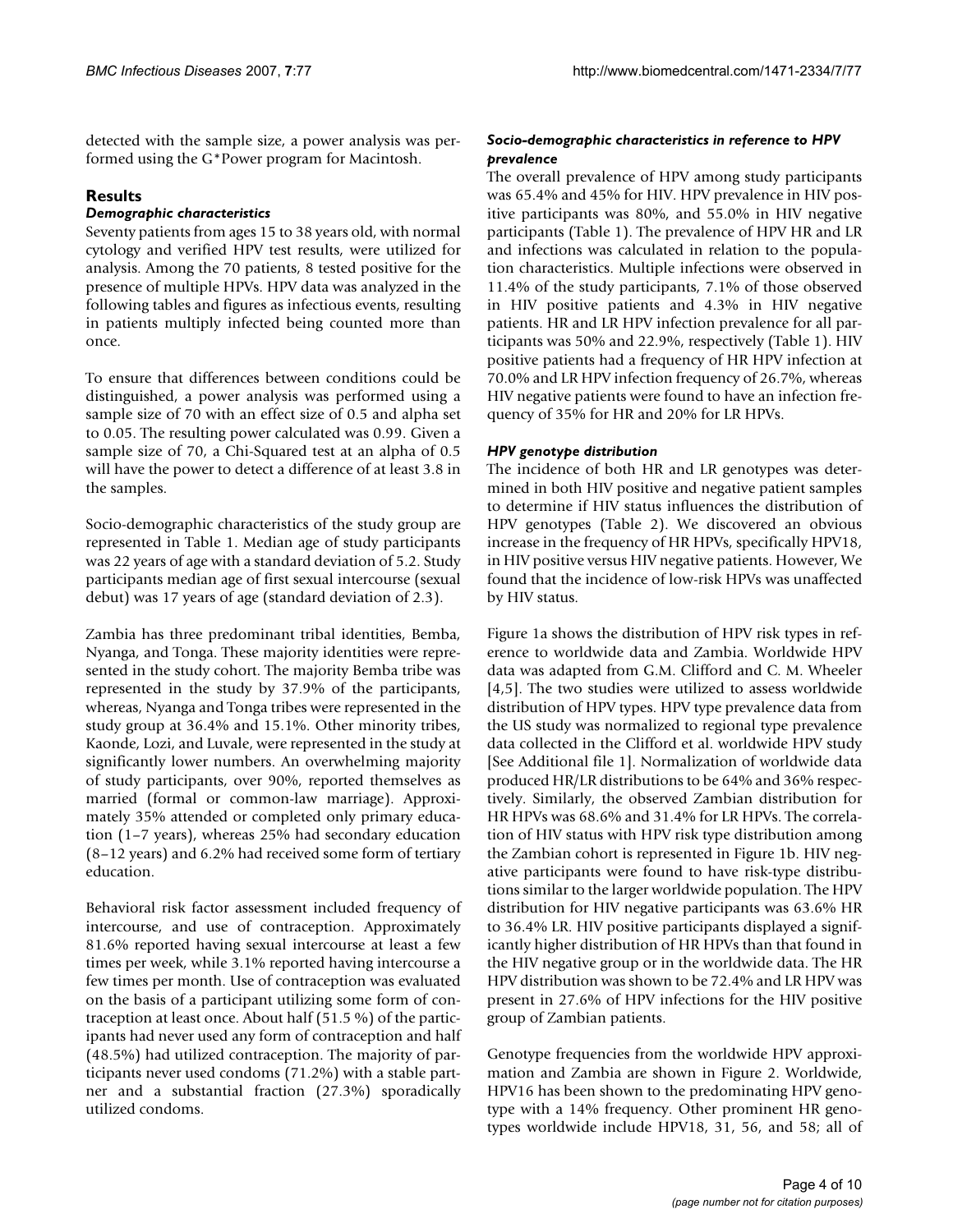detected with the sample size, a power analysis was performed using the G\*Power program for Macintosh.

# **Results**

# *Demographic characteristics*

Seventy patients from ages 15 to 38 years old, with normal cytology and verified HPV test results, were utilized for analysis. Among the 70 patients, 8 tested positive for the presence of multiple HPVs. HPV data was analyzed in the following tables and figures as infectious events, resulting in patients multiply infected being counted more than once.

To ensure that differences between conditions could be distinguished, a power analysis was performed using a sample size of 70 with an effect size of 0.5 and alpha set to 0.05. The resulting power calculated was 0.99. Given a sample size of 70, a Chi-Squared test at an alpha of 0.5 will have the power to detect a difference of at least 3.8 in the samples.

Socio-demographic characteristics of the study group are represented in Table 1. Median age of study participants was 22 years of age with a standard deviation of 5.2. Study participants median age of first sexual intercourse (sexual debut) was 17 years of age (standard deviation of 2.3).

Zambia has three predominant tribal identities, Bemba, Nyanga, and Tonga. These majority identities were represented in the study cohort. The majority Bemba tribe was represented in the study by 37.9% of the participants, whereas, Nyanga and Tonga tribes were represented in the study group at 36.4% and 15.1%. Other minority tribes, Kaonde, Lozi, and Luvale, were represented in the study at significantly lower numbers. An overwhelming majority of study participants, over 90%, reported themselves as married (formal or common-law marriage). Approximately 35% attended or completed only primary education (1–7 years), whereas 25% had secondary education (8–12 years) and 6.2% had received some form of tertiary education.

Behavioral risk factor assessment included frequency of intercourse, and use of contraception. Approximately 81.6% reported having sexual intercourse at least a few times per week, while 3.1% reported having intercourse a few times per month. Use of contraception was evaluated on the basis of a participant utilizing some form of contraception at least once. About half (51.5 %) of the participants had never used any form of contraception and half (48.5%) had utilized contraception. The majority of participants never used condoms (71.2%) with a stable partner and a substantial fraction (27.3%) sporadically utilized condoms.

# *Socio-demographic characteristics in reference to HPV prevalence*

The overall prevalence of HPV among study participants was 65.4% and 45% for HIV. HPV prevalence in HIV positive participants was 80%, and 55.0% in HIV negative participants (Table 1). The prevalence of HPV HR and LR and infections was calculated in relation to the population characteristics. Multiple infections were observed in 11.4% of the study participants, 7.1% of those observed in HIV positive patients and 4.3% in HIV negative patients. HR and LR HPV infection prevalence for all participants was 50% and 22.9%, respectively (Table 1). HIV positive patients had a frequency of HR HPV infection at 70.0% and LR HPV infection frequency of 26.7%, whereas HIV negative patients were found to have an infection frequency of 35% for HR and 20% for LR HPVs.

#### *HPV genotype distribution*

The incidence of both HR and LR genotypes was determined in both HIV positive and negative patient samples to determine if HIV status influences the distribution of HPV genotypes (Table 2). We discovered an obvious increase in the frequency of HR HPVs, specifically HPV18, in HIV positive versus HIV negative patients. However, We found that the incidence of low-risk HPVs was unaffected by HIV status.

Figure 1a shows the distribution of HPV risk types in reference to worldwide data and Zambia. Worldwide HPV data was adapted from G.M. Clifford and C. M. Wheeler [4,5]. The two studies were utilized to assess worldwide distribution of HPV types. HPV type prevalence data from the US study was normalized to regional type prevalence data collected in the Clifford et al. worldwide HPV study [See Additional file 1]. Normalization of worldwide data produced HR/LR distributions to be 64% and 36% respectively. Similarly, the observed Zambian distribution for HR HPVs was 68.6% and 31.4% for LR HPVs. The correlation of HIV status with HPV risk type distribution among the Zambian cohort is represented in Figure 1b. HIV negative participants were found to have risk-type distributions similar to the larger worldwide population. The HPV distribution for HIV negative participants was 63.6% HR to 36.4% LR. HIV positive participants displayed a significantly higher distribution of HR HPVs than that found in the HIV negative group or in the worldwide data. The HR HPV distribution was shown to be 72.4% and LR HPV was present in 27.6% of HPV infections for the HIV positive group of Zambian patients.

Genotype frequencies from the worldwide HPV approximation and Zambia are shown in Figure 2. Worldwide, HPV16 has been shown to the predominating HPV genotype with a 14% frequency. Other prominent HR genotypes worldwide include HPV18, 31, 56, and 58; all of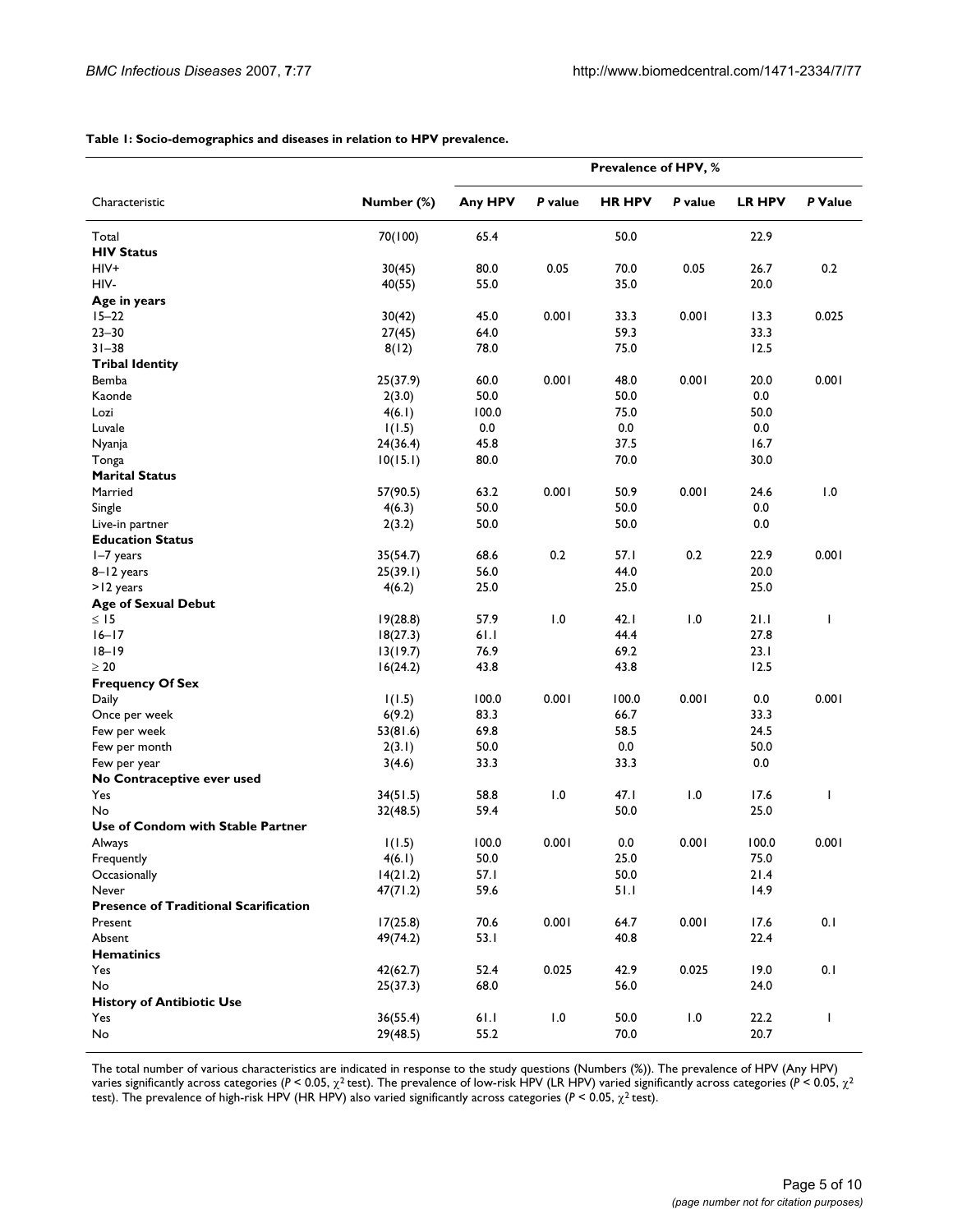#### **Table 1: Socio-demographics and diseases in relation to HPV prevalence.**

|                                              |            |              |         | Prevalence of HPV, % |         |               |              |
|----------------------------------------------|------------|--------------|---------|----------------------|---------|---------------|--------------|
| Characteristic                               | Number (%) | Any HPV      | P value | <b>HR HPV</b>        | P value | <b>LR HPV</b> | P Value      |
| Total                                        | 70(100)    | 65.4         |         | 50.0                 |         | 22.9          |              |
| <b>HIV Status</b>                            |            |              |         |                      |         |               |              |
| HIV+                                         | 30(45)     | 80.0         | 0.05    | 70.0                 | 0.05    | 26.7          | 0.2          |
| HIV-                                         | 40(55)     | 55.0         |         | 35.0                 |         | 20.0          |              |
| Age in years                                 |            |              |         |                      |         |               |              |
| $15 - 22$                                    | 30(42)     | 45.0         | 0.001   | 33.3                 | 0.001   | 13.3          | 0.025        |
| $23 - 30$                                    | 27(45)     | 64.0         |         | 59.3                 |         | 33.3          |              |
| $31 - 38$                                    | 8(12)      | 78.0         |         | 75.0                 |         | 12.5          |              |
| <b>Tribal Identity</b>                       |            |              |         |                      |         |               |              |
| Bemba                                        | 25(37.9)   | 60.0         | 0.001   | 48.0                 | 0.001   | 20.0          | 0.001        |
| Kaonde                                       | 2(3.0)     | 50.0         |         | 50.0                 |         | 0.0           |              |
| Lozi                                         | 4(6.1)     | 100.0        |         | 75.0                 |         | 50.0          |              |
| Luvale                                       | 1(1.5)     | 0.0          |         | 0.0                  |         | 0.0           |              |
| Nyanja                                       | 24(36.4)   | 45.8         |         | 37.5                 |         | 16.7          |              |
| Tonga                                        | 10(15.1)   | 80.0         |         | 70.0                 |         | 30.0          |              |
| <b>Marital Status</b>                        |            |              |         |                      |         |               |              |
| Married                                      | 57(90.5)   | 63.2         | 0.001   | 50.9                 | 0.001   | 24.6          | 1.0          |
| Single                                       | 4(6.3)     | 50.0         |         | 50.0                 |         | 0.0           |              |
| Live-in partner                              | 2(3.2)     | 50.0         |         | 50.0                 |         | 0.0           |              |
| <b>Education Status</b>                      |            |              | 0.2     |                      | 0.2     |               | 0.001        |
| I-7 years                                    | 35(54.7)   | 68.6         |         | 57.I<br>44.0         |         | 22.9          |              |
| 8-12 years<br>>12 years                      | 25(39.1)   | 56.0<br>25.0 |         | 25.0                 |         | 20.0<br>25.0  |              |
| <b>Age of Sexual Debut</b>                   | 4(6.2)     |              |         |                      |         |               |              |
| $\leq$ 15                                    | 19(28.8)   | 57.9         | 1.0     | 42.1                 | 1.0     | 21.1          | T            |
| $16-17$                                      | 18(27.3)   | 61.1         |         | 44.4                 |         | 27.8          |              |
| $18 - 19$                                    | 13(19.7)   | 76.9         |         | 69.2                 |         | 23.1          |              |
| $\geq 20$                                    | 16(24.2)   | 43.8         |         | 43.8                 |         | 12.5          |              |
| <b>Frequency Of Sex</b>                      |            |              |         |                      |         |               |              |
| Daily                                        | 1(1.5)     | 100.0        | 0.001   | 100.0                | 0.001   | 0.0           | 0.001        |
| Once per week                                | 6(9.2)     | 83.3         |         | 66.7                 |         | 33.3          |              |
| Few per week                                 | 53(81.6)   | 69.8         |         | 58.5                 |         | 24.5          |              |
| Few per month                                | 2(3.1)     | 50.0         |         | 0.0                  |         | 50.0          |              |
| Few per year                                 | 3(4.6)     | 33.3         |         | 33.3                 |         | 0.0           |              |
| No Contraceptive ever used                   |            |              |         |                      |         |               |              |
| Yes                                          | 34(51.5)   | 58.8         | 1.0     | 47.1                 | 1.0     | 17.6          | T            |
| No                                           | 32(48.5)   | 59.4         |         | 50.0                 |         | 25.0          |              |
| Use of Condom with Stable Partner            |            |              |         |                      |         |               |              |
| Always                                       | 1(1.5)     | 100.0        | 0.001   | 0.0                  | 0.001   | 100.0         | 0.001        |
| Frequently                                   | 4(6.1)     | 50.0         |         | 25.0                 |         | 75.0          |              |
| Occasionally                                 | 14(21.2)   | 57.1         |         | 50.0                 |         | 21.4          |              |
| Never                                        | 47(71.2)   | 59.6         |         | 51.1                 |         | 14.9          |              |
| <b>Presence of Traditional Scarification</b> |            |              |         |                      |         |               |              |
| Present                                      | 17(25.8)   | 70.6         | 0.001   | 64.7                 | 0.001   | 17.6          | $0.1\,$      |
| Absent                                       | 49(74.2)   | 53.1         |         | 40.8                 |         | 22.4          |              |
| <b>Hematinics</b>                            |            |              |         |                      |         |               |              |
| Yes                                          | 42(62.7)   | 52.4         | 0.025   | 42.9                 | 0.025   | 19.0          | 0.1          |
| No<br><b>History of Antibiotic Use</b>       | 25(37.3)   | 68.0         |         | 56.0                 |         | 24.0          |              |
| Yes                                          | 36(55.4)   | 61.1         | 1.0     | 50.0                 | 1.0     | 22.2          | $\mathbf{I}$ |
| No                                           | 29(48.5)   | 55.2         |         | 70.0                 |         | 20.7          |              |
|                                              |            |              |         |                      |         |               |              |

The total number of various characteristics are indicated in response to the study questions (Numbers (%)). The prevalence of HPV (Any HPV) varies significantly across categories (*P* < 0.05, χ2 test). The prevalence of low-risk HPV (LR HPV) varied significantly across categories (*P* < 0.05, χ<sup>2</sup> test). The prevalence of high-risk HPV (HR HPV) also varied significantly across categories (*P* < 0.05, χ2 test).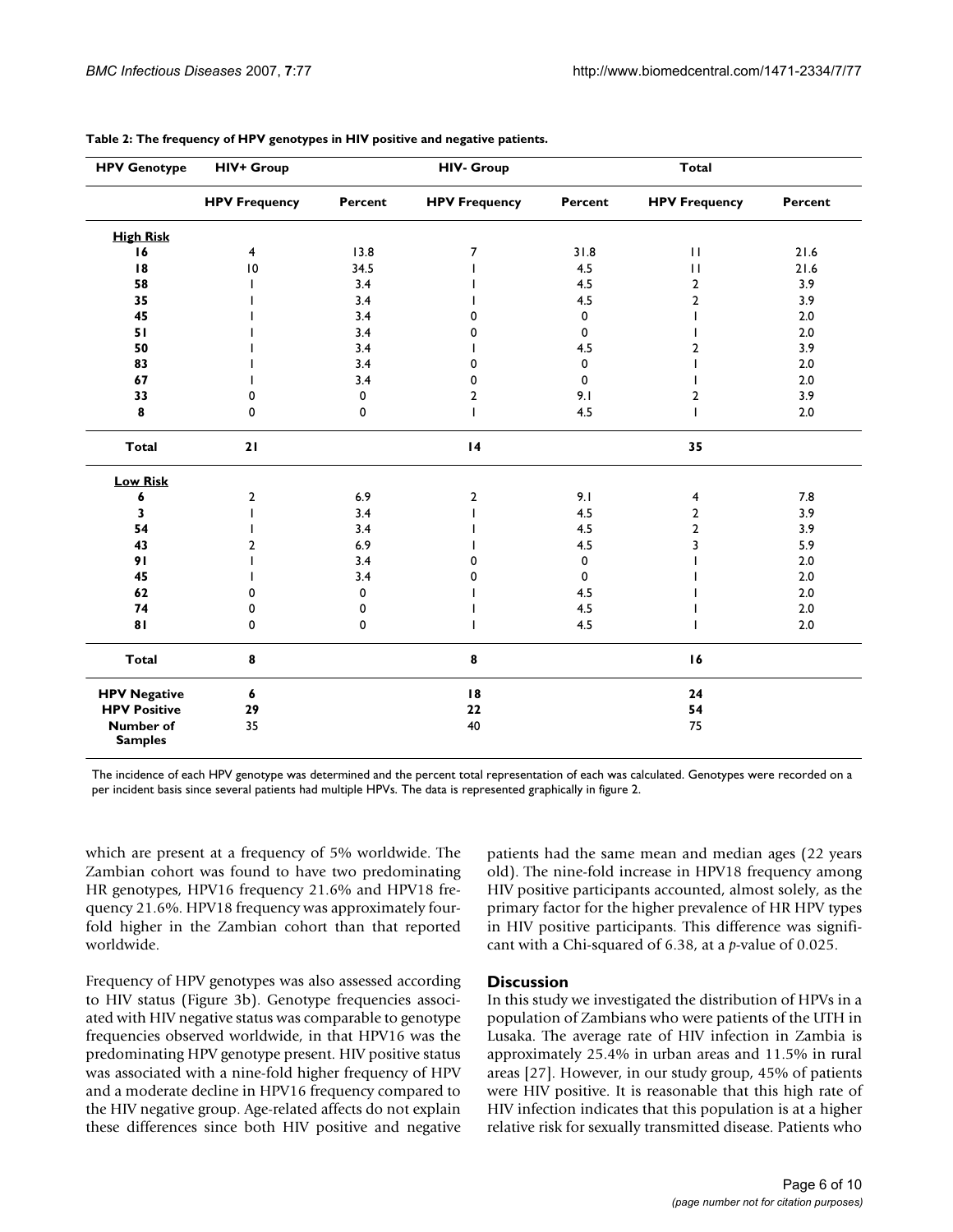| <b>HPV Genotype</b>                | <b>HIV+ Group</b>    | <b>HIV- Group</b> |                      |         | Total                |         |
|------------------------------------|----------------------|-------------------|----------------------|---------|----------------------|---------|
|                                    | <b>HPV Frequency</b> | Percent           | <b>HPV Frequency</b> | Percent | <b>HPV Frequency</b> | Percent |
| <b>High Risk</b>                   |                      |                   |                      |         |                      |         |
| 16                                 | 4                    | 13.8              | 7                    | 31.8    | $\mathbf{H}$         | 21.6    |
| 18                                 | $\overline{10}$      | 34.5              |                      | 4.5     | $\mathbf{H}$         | 21.6    |
| 58                                 |                      | 3.4               |                      | 4.5     | 2                    | 3.9     |
| 35                                 |                      | 3.4               |                      | 4.5     | 2                    | 3.9     |
| 45                                 |                      | 3.4               | O                    | 0       |                      | 2.0     |
| 51                                 |                      | 3.4               | 0                    | 0       |                      | 2.0     |
| 50                                 |                      | 3.4               |                      | 4.5     | 2                    | 3.9     |
| 83                                 |                      | 3.4               | 0                    | 0       |                      | 2.0     |
| 67                                 |                      | 3.4               | 0                    | 0       |                      | 2.0     |
| 33                                 | 0                    | $\mathbf 0$       | 2                    | 9.1     | 2                    | 3.9     |
| 8                                  | 0                    | $\mathbf 0$       |                      | 4.5     | ı                    | 2.0     |
| <b>Total</b>                       | 21                   |                   | $\overline{14}$      |         | 35                   |         |
| <b>Low Risk</b>                    |                      |                   |                      |         |                      |         |
| 6                                  | 2                    | 6.9               | 2                    | 9.1     | 4                    | 7.8     |
| 3                                  |                      | 3.4               |                      | 4.5     | $\overline{2}$       | 3.9     |
| 54                                 |                      | 3.4               |                      | 4.5     | $\overline{2}$       | 3.9     |
| 43                                 | 2                    | 6.9               |                      | 4.5     | 3                    | 5.9     |
| 91                                 |                      | 3.4               | O                    | 0       |                      | 2.0     |
| 45                                 |                      | 3.4               | O                    | 0       |                      | 2.0     |
| 62                                 | 0                    | 0                 |                      | 4.5     |                      | 2.0     |
| 74                                 | 0                    | 0                 |                      | 4.5     |                      | 2.0     |
| 81                                 | 0                    | $\mathbf 0$       |                      | 4.5     |                      | 2.0     |
| <b>Total</b>                       | 8                    |                   | $\pmb{8}$            |         | 16                   |         |
| <b>HPV Negative</b>                | 6                    |                   | 18                   |         | 24                   |         |
| <b>HPV Positive</b>                | 29                   |                   | 22                   |         | 54                   |         |
| <b>Number of</b><br><b>Samples</b> | 35                   |                   | 40                   |         | 75                   |         |

**Table 2: The frequency of HPV genotypes in HIV positive and negative patients.**

The incidence of each HPV genotype was determined and the percent total representation of each was calculated. Genotypes were recorded on a per incident basis since several patients had multiple HPVs. The data is represented graphically in figure 2.

which are present at a frequency of 5% worldwide. The Zambian cohort was found to have two predominating HR genotypes, HPV16 frequency 21.6% and HPV18 frequency 21.6%. HPV18 frequency was approximately fourfold higher in the Zambian cohort than that reported worldwide.

Frequency of HPV genotypes was also assessed according to HIV status (Figure 3b). Genotype frequencies associated with HIV negative status was comparable to genotype frequencies observed worldwide, in that HPV16 was the predominating HPV genotype present. HIV positive status was associated with a nine-fold higher frequency of HPV and a moderate decline in HPV16 frequency compared to the HIV negative group. Age-related affects do not explain these differences since both HIV positive and negative patients had the same mean and median ages (22 years old). The nine-fold increase in HPV18 frequency among HIV positive participants accounted, almost solely, as the primary factor for the higher prevalence of HR HPV types in HIV positive participants. This difference was significant with a Chi-squared of 6.38, at a *p*-value of 0.025.

### **Discussion**

In this study we investigated the distribution of HPVs in a population of Zambians who were patients of the UTH in Lusaka. The average rate of HIV infection in Zambia is approximately 25.4% in urban areas and 11.5% in rural areas [27]. However, in our study group, 45% of patients were HIV positive. It is reasonable that this high rate of HIV infection indicates that this population is at a higher relative risk for sexually transmitted disease. Patients who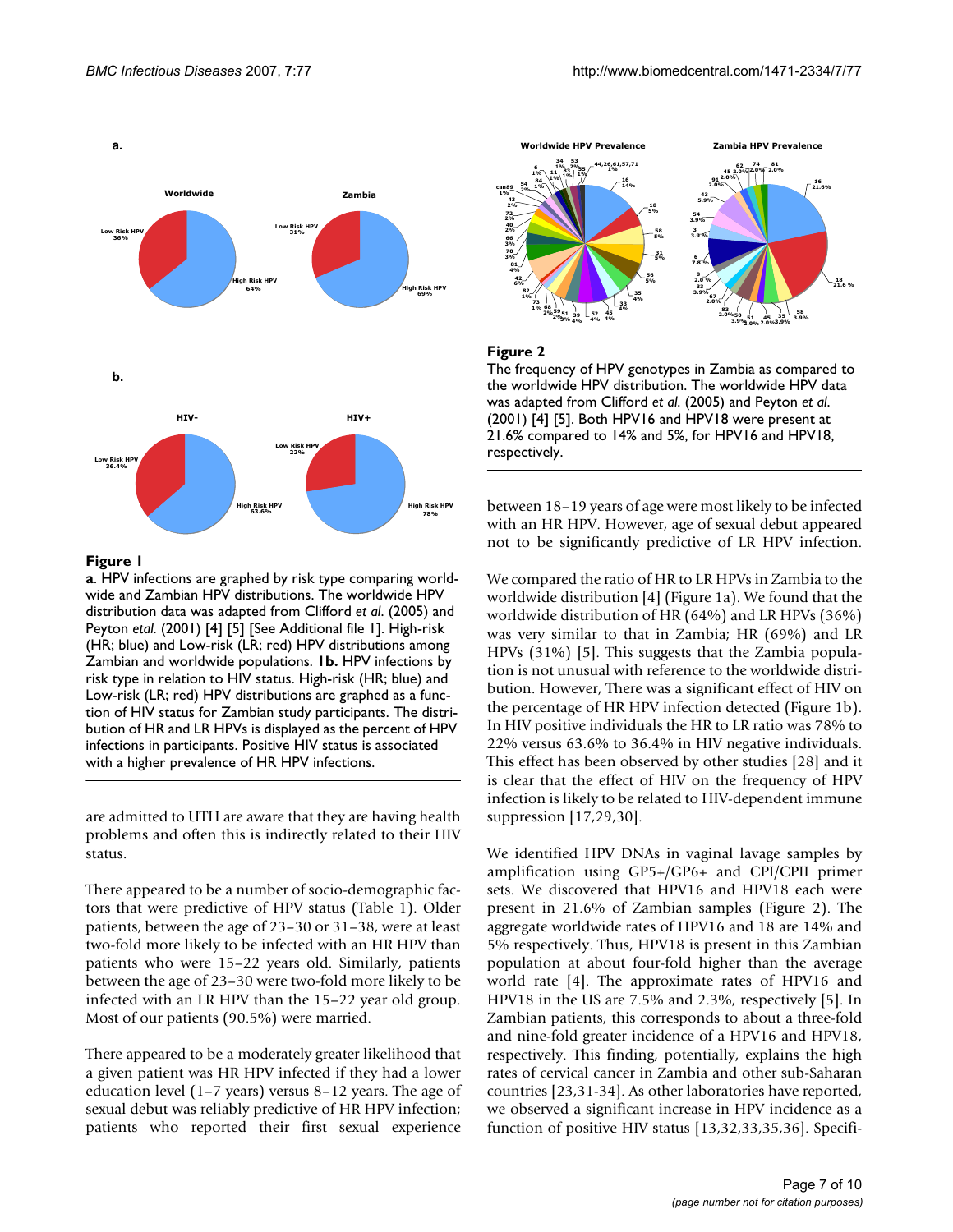

### **Figure 1**

**a**. HPV infections are graphed by risk type comparing worldwide and Zambian HPV distributions. The worldwide HPV distribution data was adapted from Clifford *et al*. (2005) and Peyton *etal*. (2001) [4] [5] [See Additional file 1]. High-risk (HR; blue) and Low-risk (LR; red) HPV distributions among Zambian and worldwide populations. **1b.** HPV infections by risk type in relation to HIV status. High-risk (HR; blue) and Low-risk (LR; red) HPV distributions are graphed as a function of HIV status for Zambian study participants. The distribution of HR and LR HPVs is displayed as the percent of HPV infections in participants. Positive HIV status is associated with a higher prevalence of HR HPV infections.

are admitted to UTH are aware that they are having health problems and often this is indirectly related to their HIV status.

There appeared to be a number of socio-demographic factors that were predictive of HPV status (Table 1). Older patients, between the age of 23–30 or 31–38, were at least two-fold more likely to be infected with an HR HPV than patients who were 15–22 years old. Similarly, patients between the age of 23–30 were two-fold more likely to be infected with an LR HPV than the 15–22 year old group. Most of our patients (90.5%) were married.

There appeared to be a moderately greater likelihood that a given patient was HR HPV infected if they had a lower education level (1–7 years) versus 8–12 years. The age of sexual debut was reliably predictive of HR HPV infection; patients who reported their first sexual experience



### Figure 2

The frequency of HPV genotypes in Zambia as compared to the worldwide HPV distribution. The worldwide HPV data was adapted from Clifford *et al*. (2005) and Peyton *et al*. (2001) [4] [5]. Both HPV16 and HPV18 were present at 21.6% compared to 14% and 5%, for HPV16 and HPV18, respectively.

between 18–19 years of age were most likely to be infected with an HR HPV. However, age of sexual debut appeared not to be significantly predictive of LR HPV infection.

We compared the ratio of HR to LR HPVs in Zambia to the worldwide distribution [4] (Figure 1a). We found that the worldwide distribution of HR (64%) and LR HPVs (36%) was very similar to that in Zambia; HR (69%) and LR HPVs (31%) [5]. This suggests that the Zambia population is not unusual with reference to the worldwide distribution. However, There was a significant effect of HIV on the percentage of HR HPV infection detected (Figure 1b). In HIV positive individuals the HR to LR ratio was 78% to 22% versus 63.6% to 36.4% in HIV negative individuals. This effect has been observed by other studies [28] and it is clear that the effect of HIV on the frequency of HPV infection is likely to be related to HIV-dependent immune suppression [17,29,30].

We identified HPV DNAs in vaginal lavage samples by amplification using GP5+/GP6+ and CPI/CPII primer sets. We discovered that HPV16 and HPV18 each were present in 21.6% of Zambian samples (Figure 2). The aggregate worldwide rates of HPV16 and 18 are 14% and 5% respectively. Thus, HPV18 is present in this Zambian population at about four-fold higher than the average world rate [4]. The approximate rates of HPV16 and HPV18 in the US are 7.5% and 2.3%, respectively [5]. In Zambian patients, this corresponds to about a three-fold and nine-fold greater incidence of a HPV16 and HPV18, respectively. This finding, potentially, explains the high rates of cervical cancer in Zambia and other sub-Saharan countries [23,31-34]. As other laboratories have reported, we observed a significant increase in HPV incidence as a function of positive HIV status [13,32,33,35,36]. Specifi-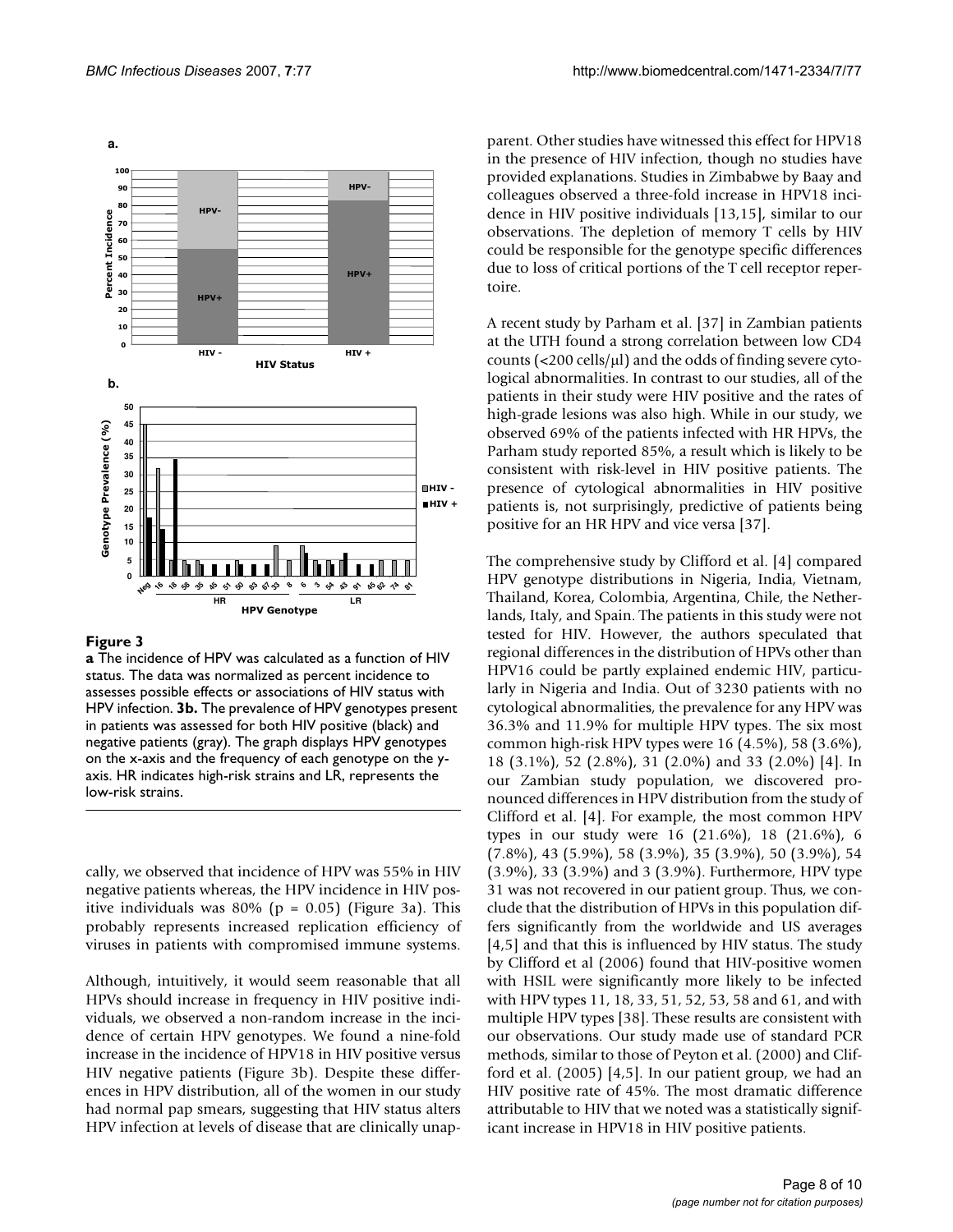

#### Figure 3

**a** The incidence of HPV was calculated as a function of HIV status. The data was normalized as percent incidence to assesses possible effects or associations of HIV status with HPV infection. **3b.** The prevalence of HPV genotypes present in patients was assessed for both HIV positive (black) and negative patients (gray). The graph displays HPV genotypes on the x-axis and the frequency of each genotype on the yaxis. HR indicates high-risk strains and LR, represents the low-risk strains.

cally, we observed that incidence of HPV was 55% in HIV negative patients whereas, the HPV incidence in HIV positive individuals was  $80\%$  (p = 0.05) (Figure 3a). This probably represents increased replication efficiency of viruses in patients with compromised immune systems.

Although, intuitively, it would seem reasonable that all HPVs should increase in frequency in HIV positive individuals, we observed a non-random increase in the incidence of certain HPV genotypes. We found a nine-fold increase in the incidence of HPV18 in HIV positive versus HIV negative patients (Figure 3b). Despite these differences in HPV distribution, all of the women in our study had normal pap smears, suggesting that HIV status alters HPV infection at levels of disease that are clinically unapparent. Other studies have witnessed this effect for HPV18 in the presence of HIV infection, though no studies have provided explanations. Studies in Zimbabwe by Baay and colleagues observed a three-fold increase in HPV18 incidence in HIV positive individuals [13,15], similar to our observations. The depletion of memory T cells by HIV could be responsible for the genotype specific differences due to loss of critical portions of the T cell receptor repertoire.

A recent study by Parham et al. [37] in Zambian patients at the UTH found a strong correlation between low CD4 counts  $\left($  <200 cells/ $\mu$ l) and the odds of finding severe cytological abnormalities. In contrast to our studies, all of the patients in their study were HIV positive and the rates of high-grade lesions was also high. While in our study, we observed 69% of the patients infected with HR HPVs, the Parham study reported 85%, a result which is likely to be consistent with risk-level in HIV positive patients. The presence of cytological abnormalities in HIV positive patients is, not surprisingly, predictive of patients being positive for an HR HPV and vice versa [37].

The comprehensive study by Clifford et al. [4] compared HPV genotype distributions in Nigeria, India, Vietnam, Thailand, Korea, Colombia, Argentina, Chile, the Netherlands, Italy, and Spain. The patients in this study were not tested for HIV. However, the authors speculated that regional differences in the distribution of HPVs other than HPV16 could be partly explained endemic HIV, particularly in Nigeria and India. Out of 3230 patients with no cytological abnormalities, the prevalence for any HPV was 36.3% and 11.9% for multiple HPV types. The six most common high-risk HPV types were 16 (4.5%), 58 (3.6%), 18 (3.1%), 52 (2.8%), 31 (2.0%) and 33 (2.0%) [4]. In our Zambian study population, we discovered pronounced differences in HPV distribution from the study of Clifford et al. [4]. For example, the most common HPV types in our study were 16 (21.6%), 18 (21.6%), 6 (7.8%), 43 (5.9%), 58 (3.9%), 35 (3.9%), 50 (3.9%), 54 (3.9%), 33 (3.9%) and 3 (3.9%). Furthermore, HPV type 31 was not recovered in our patient group. Thus, we conclude that the distribution of HPVs in this population differs significantly from the worldwide and US averages [4,5] and that this is influenced by HIV status. The study by Clifford et al (2006) found that HIV-positive women with HSIL were significantly more likely to be infected with HPV types 11, 18, 33, 51, 52, 53, 58 and 61, and with multiple HPV types [38]. These results are consistent with our observations. Our study made use of standard PCR methods, similar to those of Peyton et al. (2000) and Clifford et al. (2005) [4,5]. In our patient group, we had an HIV positive rate of 45%. The most dramatic difference attributable to HIV that we noted was a statistically significant increase in HPV18 in HIV positive patients.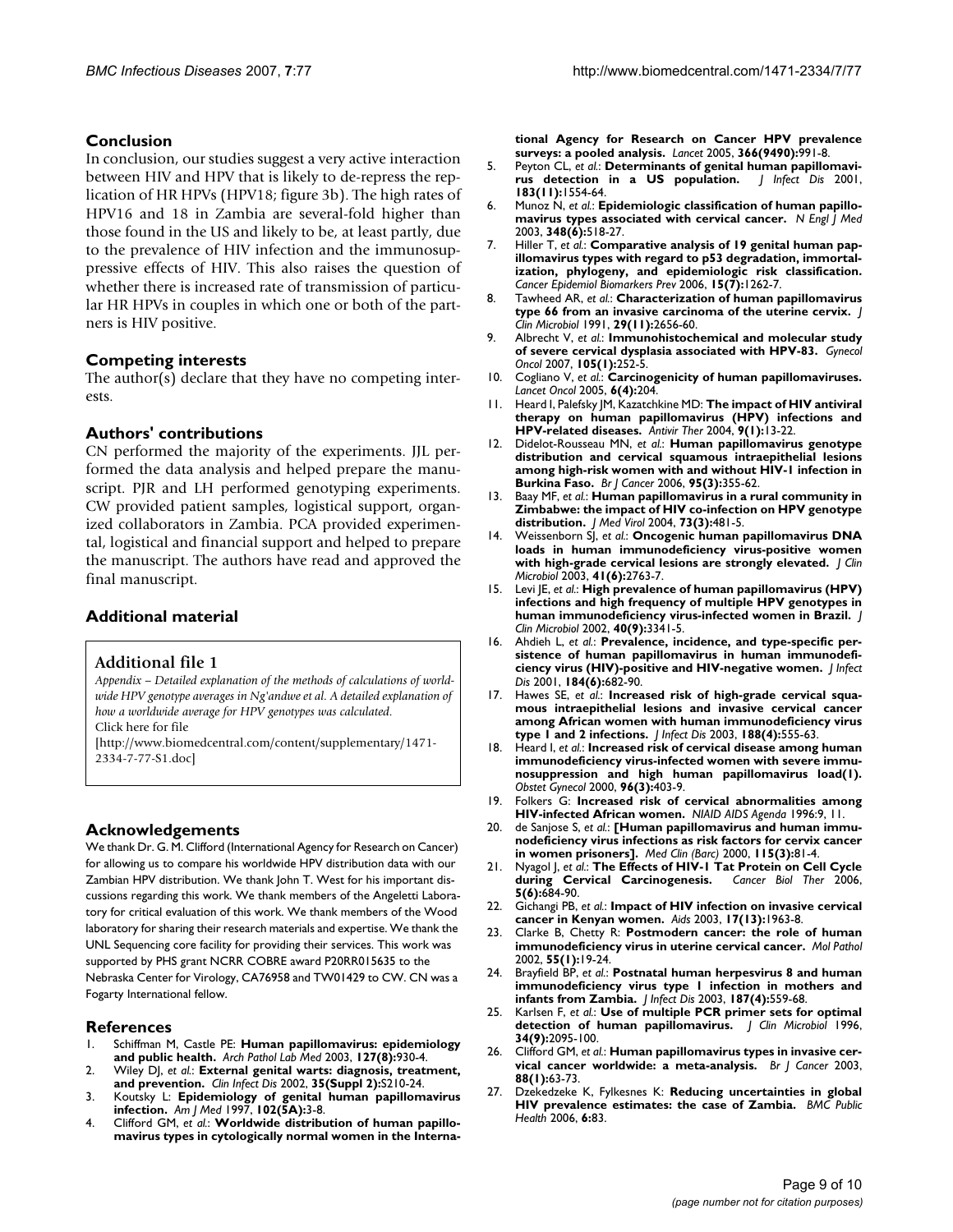# **Conclusion**

In conclusion, our studies suggest a very active interaction between HIV and HPV that is likely to de-repress the replication of HR HPVs (HPV18; figure 3b). The high rates of HPV16 and 18 in Zambia are several-fold higher than those found in the US and likely to be, at least partly, due to the prevalence of HIV infection and the immunosuppressive effects of HIV. This also raises the question of whether there is increased rate of transmission of particular HR HPVs in couples in which one or both of the partners is HIV positive.

### **Competing interests**

The author(s) declare that they have no competing interests.

### **Authors' contributions**

CN performed the majority of the experiments. JJL performed the data analysis and helped prepare the manuscript. PJR and LH performed genotyping experiments. CW provided patient samples, logistical support, organized collaborators in Zambia. PCA provided experimental, logistical and financial support and helped to prepare the manuscript. The authors have read and approved the final manuscript.

# **Additional material**

#### **Additional file 1**

*Appendix – Detailed explanation of the methods of calculations of worldwide HPV genotype averages in Ng'andwe et al. A detailed explanation of how a worldwide average for HPV genotypes was calculated.* Click here for file

[\[http://www.biomedcentral.com/content/supplementary/1471-](http://www.biomedcentral.com/content/supplementary/1471-2334-7-77-S1.doc) 2334-7-77-S1.doc]

# **Acknowledgements**

We thank Dr. G. M. Clifford (International Agency for Research on Cancer) for allowing us to compare his worldwide HPV distribution data with our Zambian HPV distribution. We thank John T. West for his important discussions regarding this work. We thank members of the Angeletti Laboratory for critical evaluation of this work. We thank members of the Wood laboratory for sharing their research materials and expertise. We thank the UNL Sequencing core facility for providing their services. This work was supported by PHS grant NCRR COBRE award P20RR015635 to the Nebraska Center for Virology, CA76958 and TW01429 to CW. CN was a Fogarty International fellow.

#### **References**

- 1. Schiffman M, Castle PE: **[Human papillomavirus: epidemiology](http://www.ncbi.nlm.nih.gov/entrez/query.fcgi?cmd=Retrieve&db=PubMed&dopt=Abstract&list_uids=12873163) [and public health.](http://www.ncbi.nlm.nih.gov/entrez/query.fcgi?cmd=Retrieve&db=PubMed&dopt=Abstract&list_uids=12873163)** *Arch Pathol Lab Med* 2003, **127(8):**930-4.
- 2. Wiley DJ, *et al.*: **External genital warts: diagnosis, treatment, and prevention.** *Clin Infect Dis* 2002, **35(Suppl 2):**S210-24.
- 3. Koutsky L: **[Epidemiology of genital human papillomavirus](http://www.ncbi.nlm.nih.gov/entrez/query.fcgi?cmd=Retrieve&db=PubMed&dopt=Abstract&list_uids=9217656) [infection.](http://www.ncbi.nlm.nih.gov/entrez/query.fcgi?cmd=Retrieve&db=PubMed&dopt=Abstract&list_uids=9217656)** *Am J Med* 1997, **102(5A):**3-8.
- 4. Clifford GM, *et al.*: **[Worldwide distribution of human papillo](http://www.ncbi.nlm.nih.gov/entrez/query.fcgi?cmd=Retrieve&db=PubMed&dopt=Abstract&list_uids=16168781)[mavirus types in cytologically normal women in the Interna-](http://www.ncbi.nlm.nih.gov/entrez/query.fcgi?cmd=Retrieve&db=PubMed&dopt=Abstract&list_uids=16168781)**

**[tional Agency for Research on Cancer HPV prevalence](http://www.ncbi.nlm.nih.gov/entrez/query.fcgi?cmd=Retrieve&db=PubMed&dopt=Abstract&list_uids=16168781) [surveys: a pooled analysis.](http://www.ncbi.nlm.nih.gov/entrez/query.fcgi?cmd=Retrieve&db=PubMed&dopt=Abstract&list_uids=16168781)** *Lancet* 2005, **366(9490):**991-8.

- 5. Peyton CL, *et al.*: **[Determinants of genital human papillomavi](http://www.ncbi.nlm.nih.gov/entrez/query.fcgi?cmd=Retrieve&db=PubMed&dopt=Abstract&list_uids=11343204)[rus detection in a US population.](http://www.ncbi.nlm.nih.gov/entrez/query.fcgi?cmd=Retrieve&db=PubMed&dopt=Abstract&list_uids=11343204)** *J Infect Dis* 2001, **183(11):**1554-64.
- 6. Munoz N, *et al.*: **[Epidemiologic classification of human papillo](http://www.ncbi.nlm.nih.gov/entrez/query.fcgi?cmd=Retrieve&db=PubMed&dopt=Abstract&list_uids=12571259)[mavirus types associated with cervical cancer.](http://www.ncbi.nlm.nih.gov/entrez/query.fcgi?cmd=Retrieve&db=PubMed&dopt=Abstract&list_uids=12571259)** *N Engl J Med* 2003, **348(6):**518-27.
- 7. Hiller T, *et al.*: **[Comparative analysis of 19 genital human pap](http://www.ncbi.nlm.nih.gov/entrez/query.fcgi?cmd=Retrieve&db=PubMed&dopt=Abstract&list_uids=16835321)illomavirus types with regard to p53 degradation, immortal[ization, phylogeny, and epidemiologic risk classification.](http://www.ncbi.nlm.nih.gov/entrez/query.fcgi?cmd=Retrieve&db=PubMed&dopt=Abstract&list_uids=16835321)** *Cancer Epidemiol Biomarkers Prev* 2006, **15(7):**1262-7.
- 8. Tawheed AR, *et al.*: **[Characterization of human papillomavirus](http://www.ncbi.nlm.nih.gov/entrez/query.fcgi?cmd=Retrieve&db=PubMed&dopt=Abstract&list_uids=1663515) [type 66 from an invasive carcinoma of the uterine cervix.](http://www.ncbi.nlm.nih.gov/entrez/query.fcgi?cmd=Retrieve&db=PubMed&dopt=Abstract&list_uids=1663515)** *J Clin Microbiol* 1991, **29(11):**2656-60.
- 9. Albrecht V, *et al.*: **[Immunohistochemical and molecular study](http://www.ncbi.nlm.nih.gov/entrez/query.fcgi?cmd=Retrieve&db=PubMed&dopt=Abstract&list_uids=17239429) [of severe cervical dysplasia associated with HPV-83.](http://www.ncbi.nlm.nih.gov/entrez/query.fcgi?cmd=Retrieve&db=PubMed&dopt=Abstract&list_uids=17239429)** *Gynecol Oncol* 2007, **105(1):**252-5.
- 10. Cogliano V, *et al.*: **[Carcinogenicity of human papillomaviruses.](http://www.ncbi.nlm.nih.gov/entrez/query.fcgi?cmd=Retrieve&db=PubMed&dopt=Abstract&list_uids=15830458)** *Lancet Oncol* 2005, **6(4):**204.
- 11. Heard I, Palefsky JM, Kazatchkine MD: **[The impact of HIV antiviral](http://www.ncbi.nlm.nih.gov/entrez/query.fcgi?cmd=Retrieve&db=PubMed&dopt=Abstract&list_uids=15040532) [therapy on human papillomavirus \(HPV\) infections and](http://www.ncbi.nlm.nih.gov/entrez/query.fcgi?cmd=Retrieve&db=PubMed&dopt=Abstract&list_uids=15040532) [HPV-related diseases.](http://www.ncbi.nlm.nih.gov/entrez/query.fcgi?cmd=Retrieve&db=PubMed&dopt=Abstract&list_uids=15040532)** *Antivir Ther* 2004, **9(1):**13-22.
- 12. Didelot-Rousseau MN, *et al.*: **[Human papillomavirus genotype](http://www.ncbi.nlm.nih.gov/entrez/query.fcgi?cmd=Retrieve&db=PubMed&dopt=Abstract&list_uids=16832413) distribution and cervical squamous intraepithelial lesions [among high-risk women with and without HIV-1 infection in](http://www.ncbi.nlm.nih.gov/entrez/query.fcgi?cmd=Retrieve&db=PubMed&dopt=Abstract&list_uids=16832413) [Burkina Faso.](http://www.ncbi.nlm.nih.gov/entrez/query.fcgi?cmd=Retrieve&db=PubMed&dopt=Abstract&list_uids=16832413)** *Br J Cancer* 2006, **95(3):**355-62.
- 13. Baay MF, *et al.*: **[Human papillomavirus in a rural community in](http://www.ncbi.nlm.nih.gov/entrez/query.fcgi?cmd=Retrieve&db=PubMed&dopt=Abstract&list_uids=15170646) [Zimbabwe: the impact of HIV co-infection on HPV genotype](http://www.ncbi.nlm.nih.gov/entrez/query.fcgi?cmd=Retrieve&db=PubMed&dopt=Abstract&list_uids=15170646) [distribution.](http://www.ncbi.nlm.nih.gov/entrez/query.fcgi?cmd=Retrieve&db=PubMed&dopt=Abstract&list_uids=15170646)** *J Med Virol* 2004, **73(3):**481-5.
- 14. Weissenborn SJ, *et al.*: **[Oncogenic human papillomavirus DNA](http://www.ncbi.nlm.nih.gov/entrez/query.fcgi?cmd=Retrieve&db=PubMed&dopt=Abstract&list_uids=12791926) [loads in human immunodeficiency virus-positive women](http://www.ncbi.nlm.nih.gov/entrez/query.fcgi?cmd=Retrieve&db=PubMed&dopt=Abstract&list_uids=12791926) [with high-grade cervical lesions are strongly elevated.](http://www.ncbi.nlm.nih.gov/entrez/query.fcgi?cmd=Retrieve&db=PubMed&dopt=Abstract&list_uids=12791926)** *J Clin Microbiol* 2003, **41(6):**2763-7.
- 15. Levi JE, *et al.*: **[High prevalence of human papillomavirus \(HPV\)](http://www.ncbi.nlm.nih.gov/entrez/query.fcgi?cmd=Retrieve&db=PubMed&dopt=Abstract&list_uids=12202576) [infections and high frequency of multiple HPV genotypes in](http://www.ncbi.nlm.nih.gov/entrez/query.fcgi?cmd=Retrieve&db=PubMed&dopt=Abstract&list_uids=12202576) [human immunodeficiency virus-infected women in Brazil.](http://www.ncbi.nlm.nih.gov/entrez/query.fcgi?cmd=Retrieve&db=PubMed&dopt=Abstract&list_uids=12202576)** *J Clin Microbiol* 2002, **40(9):**3341-5.
- 16. Ahdieh L, *et al.*: **[Prevalence, incidence, and type-specific per](http://www.ncbi.nlm.nih.gov/entrez/query.fcgi?cmd=Retrieve&db=PubMed&dopt=Abstract&list_uids=11517428)[sistence of human papillomavirus in human immunodefi](http://www.ncbi.nlm.nih.gov/entrez/query.fcgi?cmd=Retrieve&db=PubMed&dopt=Abstract&list_uids=11517428)[ciency virus \(HIV\)-positive and HIV-negative women.](http://www.ncbi.nlm.nih.gov/entrez/query.fcgi?cmd=Retrieve&db=PubMed&dopt=Abstract&list_uids=11517428)** *J Infect Dis* 2001, **184(6):**682-90.
- 17. Hawes SE, *et al.*: **[Increased risk of high-grade cervical squa](http://www.ncbi.nlm.nih.gov/entrez/query.fcgi?cmd=Retrieve&db=PubMed&dopt=Abstract&list_uids=12898443)mous intraepithelial lesions and invasive cervical cancer [among African women with human immunodeficiency virus](http://www.ncbi.nlm.nih.gov/entrez/query.fcgi?cmd=Retrieve&db=PubMed&dopt=Abstract&list_uids=12898443) [type 1 and 2 infections.](http://www.ncbi.nlm.nih.gov/entrez/query.fcgi?cmd=Retrieve&db=PubMed&dopt=Abstract&list_uids=12898443)** *J Infect Dis* 2003, **188(4):**555-63.
- 18. Heard I, *et al.*: **[Increased risk of cervical disease among human](http://www.ncbi.nlm.nih.gov/entrez/query.fcgi?cmd=Retrieve&db=PubMed&dopt=Abstract&list_uids=10960634) immunodeficiency virus-infected women with severe immu[nosuppression and high human papillomavirus load\(1\).](http://www.ncbi.nlm.nih.gov/entrez/query.fcgi?cmd=Retrieve&db=PubMed&dopt=Abstract&list_uids=10960634)** *Obstet Gynecol* 2000, **96(3):**403-9.
- 19. Folkers G: **[Increased risk of cervical abnormalities among](http://www.ncbi.nlm.nih.gov/entrez/query.fcgi?cmd=Retrieve&db=PubMed&dopt=Abstract&list_uids=11363811) [HIV-infected African women.](http://www.ncbi.nlm.nih.gov/entrez/query.fcgi?cmd=Retrieve&db=PubMed&dopt=Abstract&list_uids=11363811)** *NIAID AIDS Agenda* 1996:9, 11.
- 20. de Sanjose S, *et al.*: **[\[Human papillomavirus and human immu](http://www.ncbi.nlm.nih.gov/entrez/query.fcgi?cmd=Retrieve&db=PubMed&dopt=Abstract&list_uids=10965480)[nodeficiency virus infections as risk factors for cervix cancer](http://www.ncbi.nlm.nih.gov/entrez/query.fcgi?cmd=Retrieve&db=PubMed&dopt=Abstract&list_uids=10965480) [in women prisoners\].](http://www.ncbi.nlm.nih.gov/entrez/query.fcgi?cmd=Retrieve&db=PubMed&dopt=Abstract&list_uids=10965480)** *Med Clin (Barc)* 2000, **115(3):**81-4.
- 21. Nyagol J, *et al.*: **[The Effects of HIV-1 Tat Protein on Cell Cycle](http://www.ncbi.nlm.nih.gov/entrez/query.fcgi?cmd=Retrieve&db=PubMed&dopt=Abstract&list_uids=16855377) [during Cervical Carcinogenesis.](http://www.ncbi.nlm.nih.gov/entrez/query.fcgi?cmd=Retrieve&db=PubMed&dopt=Abstract&list_uids=16855377)** *Cancer Biol Ther* 2006, **5(6):**684-90.
- 22. Gichangi PB, *et al.*: **[Impact of HIV infection on invasive cervical](http://www.ncbi.nlm.nih.gov/entrez/query.fcgi?cmd=Retrieve&db=PubMed&dopt=Abstract&list_uids=12960829) [cancer in Kenyan women.](http://www.ncbi.nlm.nih.gov/entrez/query.fcgi?cmd=Retrieve&db=PubMed&dopt=Abstract&list_uids=12960829)** *Aids* 2003, **17(13):**1963-8.
- 23. Clarke B, Chetty R: **[Postmodern cancer: the role of human](http://www.ncbi.nlm.nih.gov/entrez/query.fcgi?cmd=Retrieve&db=PubMed&dopt=Abstract&list_uids=11836442) [immunodeficiency virus in uterine cervical cancer.](http://www.ncbi.nlm.nih.gov/entrez/query.fcgi?cmd=Retrieve&db=PubMed&dopt=Abstract&list_uids=11836442)** *Mol Pathol* 2002, **55(1):**19-24.
- Brayfield BP, et al.: **[Postnatal human herpesvirus 8 and human](http://www.ncbi.nlm.nih.gov/entrez/query.fcgi?cmd=Retrieve&db=PubMed&dopt=Abstract&list_uids=12599072) [immunodeficiency virus type 1 infection in mothers and](http://www.ncbi.nlm.nih.gov/entrez/query.fcgi?cmd=Retrieve&db=PubMed&dopt=Abstract&list_uids=12599072) [infants from Zambia.](http://www.ncbi.nlm.nih.gov/entrez/query.fcgi?cmd=Retrieve&db=PubMed&dopt=Abstract&list_uids=12599072)** *J Infect Dis* 2003, **187(4):**559-68.
- 25. Karlsen F, *et al.*: **[Use of multiple PCR primer sets for optimal](http://www.ncbi.nlm.nih.gov/entrez/query.fcgi?cmd=Retrieve&db=PubMed&dopt=Abstract&list_uids=8862564) [detection of human papillomavirus.](http://www.ncbi.nlm.nih.gov/entrez/query.fcgi?cmd=Retrieve&db=PubMed&dopt=Abstract&list_uids=8862564)** *J Clin Microbiol* 1996, **34(9):**2095-100.
- 26. Clifford GM, *et al.*: **[Human papillomavirus types in invasive cer](http://www.ncbi.nlm.nih.gov/entrez/query.fcgi?cmd=Retrieve&db=PubMed&dopt=Abstract&list_uids=12556961)[vical cancer worldwide: a meta-analysis.](http://www.ncbi.nlm.nih.gov/entrez/query.fcgi?cmd=Retrieve&db=PubMed&dopt=Abstract&list_uids=12556961)** *Br J Cancer* 2003, **88(1):**63-73.
- 27. Dzekedzeke K, Fylkesnes K: **[Reducing uncertainties in global](http://www.ncbi.nlm.nih.gov/entrez/query.fcgi?cmd=Retrieve&db=PubMed&dopt=Abstract&list_uids=16579863) [HIV prevalence estimates: the case of Zambia.](http://www.ncbi.nlm.nih.gov/entrez/query.fcgi?cmd=Retrieve&db=PubMed&dopt=Abstract&list_uids=16579863)** *BMC Public Health* 2006, **6:**83.